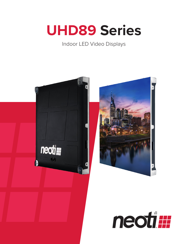

# Indoor LED Video Displays